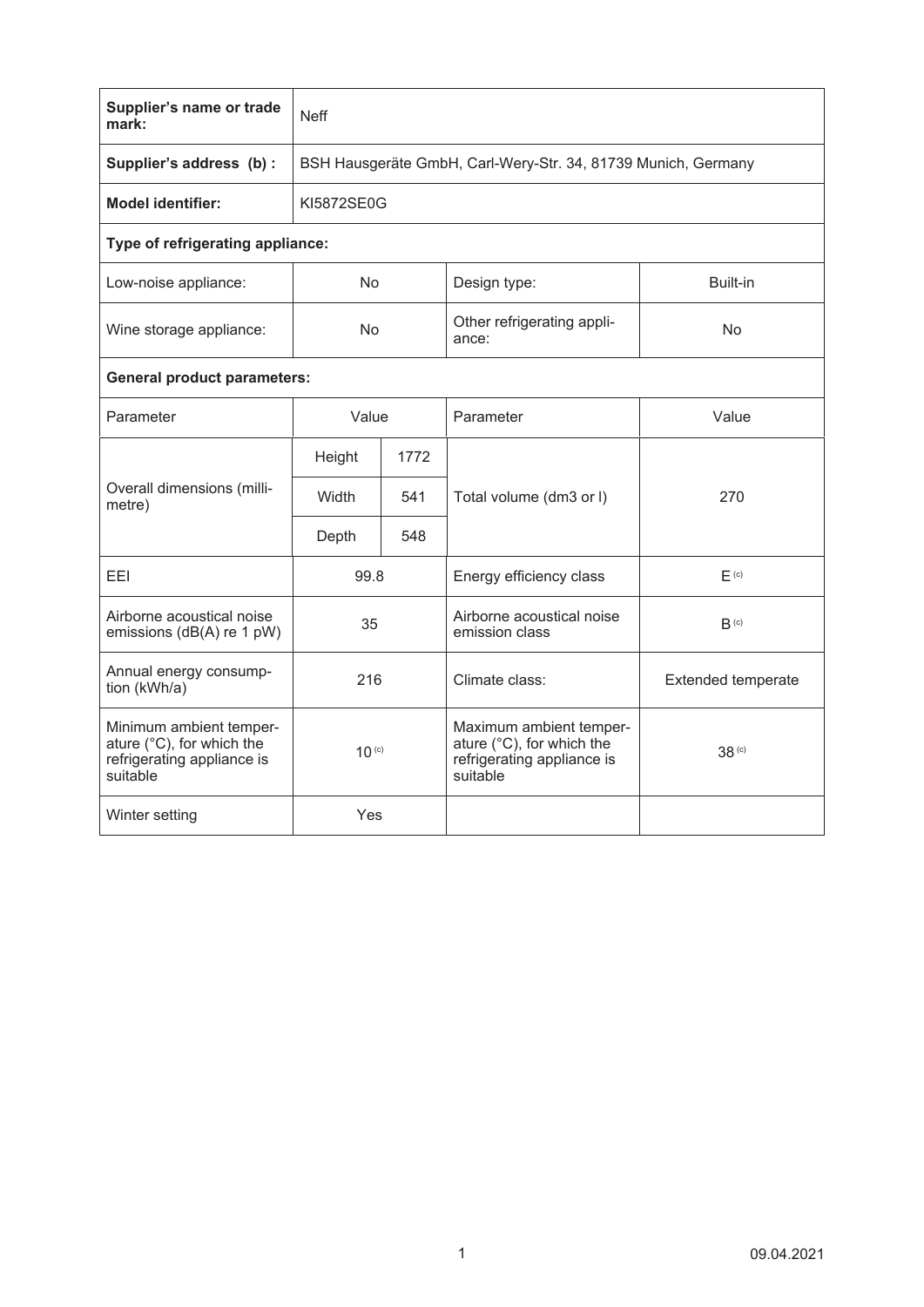| Supplier's name or trade<br>mark:                                                              | <b>Neff</b>                                                   |      |                                                                                                |                           |  |  |  |  |
|------------------------------------------------------------------------------------------------|---------------------------------------------------------------|------|------------------------------------------------------------------------------------------------|---------------------------|--|--|--|--|
| Supplier's address (b) :                                                                       | BSH Hausgeräte GmbH, Carl-Wery-Str. 34, 81739 Munich, Germany |      |                                                                                                |                           |  |  |  |  |
| <b>Model identifier:</b>                                                                       | KI5872SE0G                                                    |      |                                                                                                |                           |  |  |  |  |
| Type of refrigerating appliance:                                                               |                                                               |      |                                                                                                |                           |  |  |  |  |
| Low-noise appliance:                                                                           | No.                                                           |      | Design type:                                                                                   | Built-in                  |  |  |  |  |
| Wine storage appliance:                                                                        | No                                                            |      | Other refrigerating appli-<br>ance:                                                            | No                        |  |  |  |  |
| <b>General product parameters:</b>                                                             |                                                               |      |                                                                                                |                           |  |  |  |  |
| Parameter                                                                                      | Value                                                         |      | Parameter                                                                                      | Value                     |  |  |  |  |
| Overall dimensions (milli-<br>metre)                                                           | Height                                                        | 1772 |                                                                                                |                           |  |  |  |  |
|                                                                                                | Width                                                         | 541  | Total volume (dm3 or I)                                                                        | 270                       |  |  |  |  |
|                                                                                                | Depth                                                         | 548  |                                                                                                |                           |  |  |  |  |
| <b>FFI</b>                                                                                     | 99.8                                                          |      | Energy efficiency class                                                                        | F <sub>(c)</sub>          |  |  |  |  |
| Airborne acoustical noise<br>emissions (dB(A) re 1 pW)                                         | 35                                                            |      | Airborne acoustical noise<br>emission class                                                    | $B^{(c)}$                 |  |  |  |  |
| Annual energy consump-<br>tion (kWh/a)                                                         | 216                                                           |      | Climate class:                                                                                 | <b>Extended temperate</b> |  |  |  |  |
| Minimum ambient temper-<br>ature (°C), for which the<br>refrigerating appliance is<br>suitable | $10^{(c)}$                                                    |      | Maximum ambient temper-<br>ature (°C), for which the<br>refrigerating appliance is<br>suitable | 38 <sup>(c)</sup>         |  |  |  |  |
| Winter setting                                                                                 | Yes                                                           |      |                                                                                                |                           |  |  |  |  |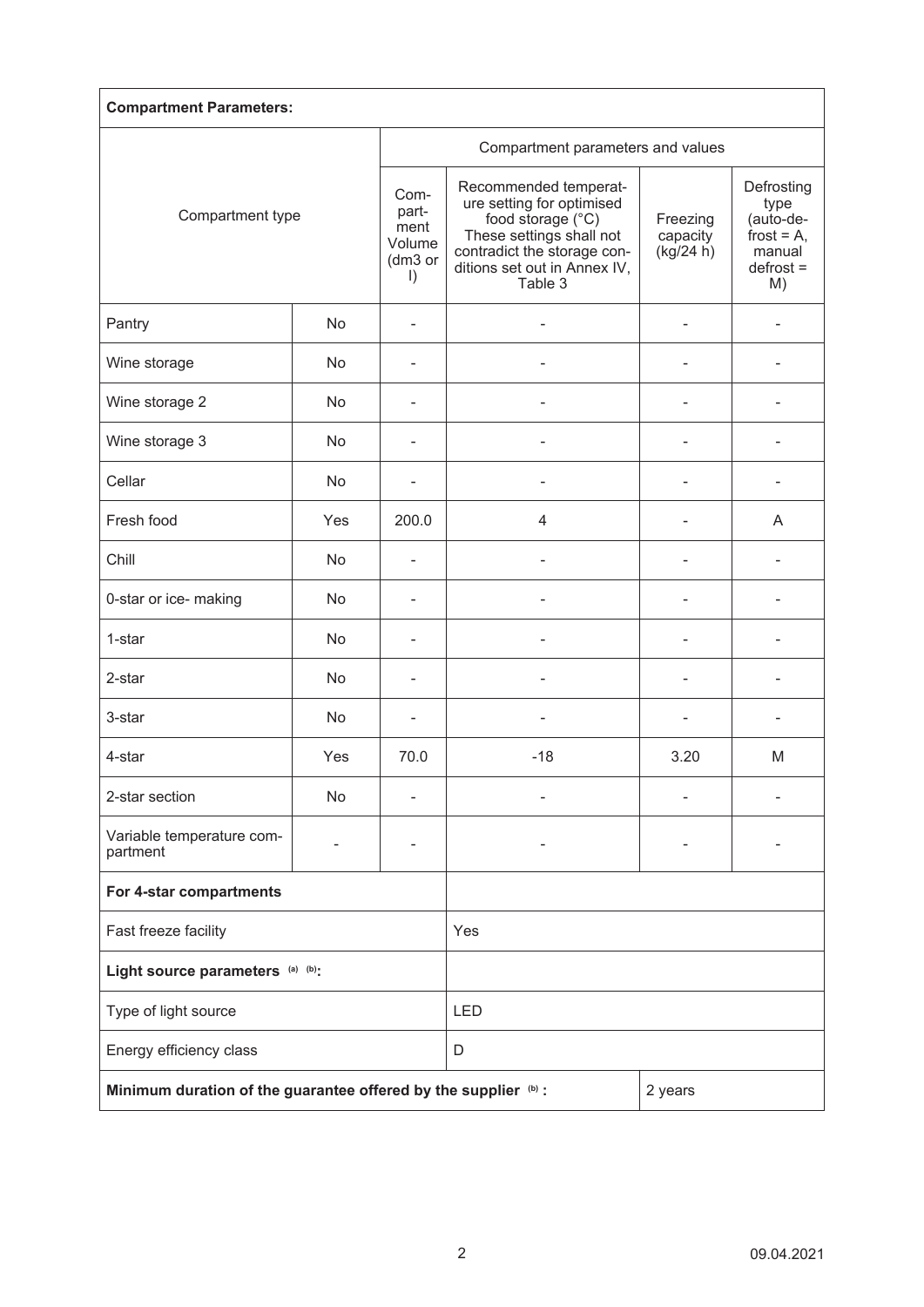| <b>Compartment Parameters:</b>                                  |     |                                                       |                                                                                                                                                                               |                                   |                                                                                 |  |  |  |
|-----------------------------------------------------------------|-----|-------------------------------------------------------|-------------------------------------------------------------------------------------------------------------------------------------------------------------------------------|-----------------------------------|---------------------------------------------------------------------------------|--|--|--|
| Compartment type                                                |     |                                                       | Compartment parameters and values                                                                                                                                             |                                   |                                                                                 |  |  |  |
|                                                                 |     | Com-<br>part-<br>ment<br>Volume<br>(dm3 or<br>$\vert$ | Recommended temperat-<br>ure setting for optimised<br>food storage (°C)<br>These settings shall not<br>contradict the storage con-<br>ditions set out in Annex IV,<br>Table 3 | Freezing<br>capacity<br>(kg/24 h) | Defrosting<br>type<br>(auto-de-<br>frost = $A$ ,<br>manual<br>$defrost =$<br>M) |  |  |  |
| Pantry                                                          | No  |                                                       |                                                                                                                                                                               |                                   |                                                                                 |  |  |  |
| Wine storage                                                    | No  |                                                       |                                                                                                                                                                               |                                   |                                                                                 |  |  |  |
| Wine storage 2                                                  | No  |                                                       |                                                                                                                                                                               |                                   |                                                                                 |  |  |  |
| Wine storage 3                                                  | No  |                                                       |                                                                                                                                                                               |                                   |                                                                                 |  |  |  |
| Cellar                                                          | No  |                                                       |                                                                                                                                                                               |                                   |                                                                                 |  |  |  |
| Fresh food                                                      | Yes | 200.0                                                 | $\overline{4}$                                                                                                                                                                | $\overline{a}$                    | A                                                                               |  |  |  |
| Chill                                                           | No  | $\overline{\phantom{a}}$                              |                                                                                                                                                                               | $\blacksquare$                    |                                                                                 |  |  |  |
| 0-star or ice- making                                           | No  |                                                       |                                                                                                                                                                               |                                   |                                                                                 |  |  |  |
| 1-star                                                          | No  |                                                       |                                                                                                                                                                               |                                   |                                                                                 |  |  |  |
| 2-star                                                          | No  |                                                       |                                                                                                                                                                               |                                   |                                                                                 |  |  |  |
| 3-star                                                          | No  |                                                       |                                                                                                                                                                               |                                   |                                                                                 |  |  |  |
| 4-star                                                          | Yes | 70.0                                                  | $-18$                                                                                                                                                                         | 3.20                              | M                                                                               |  |  |  |
| 2-star section                                                  | No  |                                                       |                                                                                                                                                                               |                                   |                                                                                 |  |  |  |
| Variable temperature com-<br>partment                           |     |                                                       |                                                                                                                                                                               |                                   |                                                                                 |  |  |  |
| For 4-star compartments                                         |     |                                                       |                                                                                                                                                                               |                                   |                                                                                 |  |  |  |
| Fast freeze facility                                            |     |                                                       | Yes                                                                                                                                                                           |                                   |                                                                                 |  |  |  |
| Light source parameters (a) (b):                                |     |                                                       |                                                                                                                                                                               |                                   |                                                                                 |  |  |  |
| Type of light source                                            |     |                                                       | LED                                                                                                                                                                           |                                   |                                                                                 |  |  |  |
| Energy efficiency class                                         |     |                                                       | D                                                                                                                                                                             |                                   |                                                                                 |  |  |  |
| Minimum duration of the guarantee offered by the supplier (b) : |     |                                                       | 2 years                                                                                                                                                                       |                                   |                                                                                 |  |  |  |